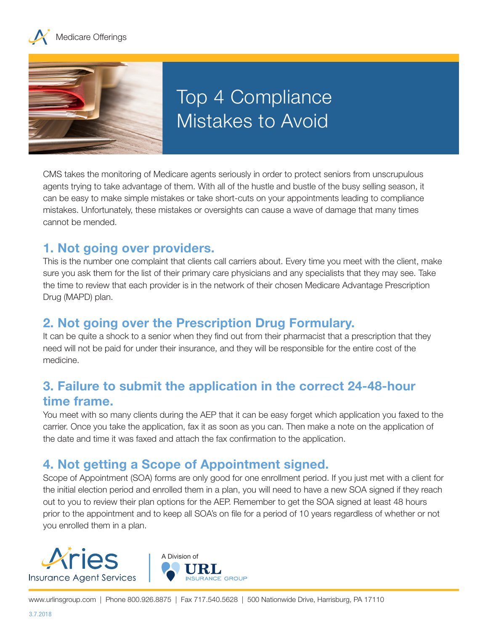



# Top 4 Compliance Mistakes to Avoid

CMS takes the monitoring of Medicare agents seriously in order to protect seniors from unscrupulous agents trying to take advantage of them. With all of the hustle and bustle of the busy selling season, it can be easy to make simple mistakes or take short-cuts on your appointments leading to compliance mistakes. Unfortunately, these mistakes or oversights can cause a wave of damage that many times cannot be mended.

#### **1. Not going over providers.**

This is the number one complaint that clients call carriers about. Every time you meet with the client, make sure you ask them for the list of their primary care physicians and any specialists that they may see. Take the time to review that each provider is in the network of their chosen Medicare Advantage Prescription Drug (MAPD) plan.

### **2. Not going over the Prescription Drug Formulary.**

It can be quite a shock to a senior when they find out from their pharmacist that a prescription that they need will not be paid for under their insurance, and they will be responsible for the entire cost of the medicine.

### **3. Failure to submit the application in the correct 24-48-hour time frame.**

You meet with so many clients during the AEP that it can be easy forget which application you faxed to the carrier. Once you take the application, fax it as soon as you can. Then make a note on the application of the date and time it was faxed and attach the fax confirmation to the application.

## **4. Not getting a Scope of Appointment signed.**

Scope of Appointment (SOA) forms are only good for one enrollment period. If you just met with a client for the initial election period and enrolled them in a plan, you will need to have a new SOA signed if they reach out to you to review their plan options for the AEP. Remember to get the SOA signed at least 48 hours prior to the appointment and to keep all SOA's on file for a period of 10 years regardless of whether or not you enrolled them in a plan.